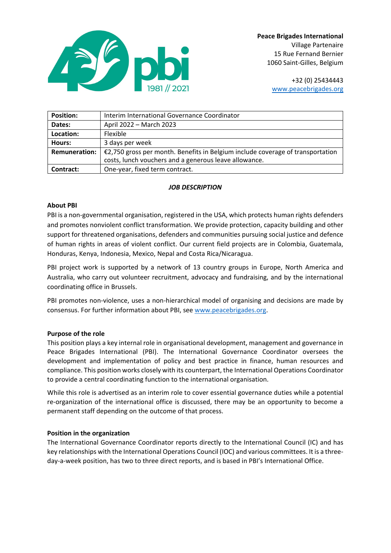

**Peace Brigades International** Village Partenaire 15 Rue Fernand Bernier 1060 Saint-Gilles, Belgium

> +32 (0) 25434443 [www.peacebrigades.org](http://www.peacebrigades.org/)

| <b>Position:</b>     | Interim International Governance Coordinator                                                                                            |
|----------------------|-----------------------------------------------------------------------------------------------------------------------------------------|
| Dates:               | April 2022 - March 2023                                                                                                                 |
| Location:            | Flexible                                                                                                                                |
| Hours:               | 3 days per week                                                                                                                         |
| <b>Remuneration:</b> | €2,750 gross per month. Benefits in Belgium include coverage of transportation<br>costs, lunch vouchers and a generous leave allowance. |
| Contract:            | One-year, fixed term contract.                                                                                                          |

# *JOB DESCRIPTION*

## **About PBI**

PBI is a non-governmental organisation, registered in the USA, which protects human rights defenders and promotes nonviolent conflict transformation. We provide protection, capacity building and other support for threatened organisations, defenders and communities pursuing social justice and defence of human rights in areas of violent conflict. Our current field projects are in Colombia, Guatemala, Honduras, Kenya, Indonesia, Mexico, Nepal and Costa Rica/Nicaragua.

PBI project work is supported by a network of 13 country groups in Europe, North America and Australia, who carry out volunteer recruitment, advocacy and fundraising, and by the international coordinating office in Brussels.

PBI promotes non-violence, uses a non-hierarchical model of organising and decisions are made by consensus. For further information about PBI, se[e www.peacebrigades.org.](http://www.peacebrigades.org/)

## **Purpose of the role**

This position plays a key internal role in organisational development, management and governance in Peace Brigades International (PBI). The International Governance Coordinator oversees the development and implementation of policy and best practice in finance, human resources and compliance. This position works closely with its counterpart, the International Operations Coordinator to provide a central coordinating function to the international organisation.

While this role is advertised as an interim role to cover essential governance duties while a potential re-organization of the international office is discussed, there may be an opportunity to become a permanent staff depending on the outcome of that process.

## **Position in the organization**

The International Governance Coordinator reports directly to the International Council (IC) and has key relationships with the International Operations Council (IOC) and various committees. It is a threeday-a-week position, has two to three direct reports, and is based in PBI's International Office.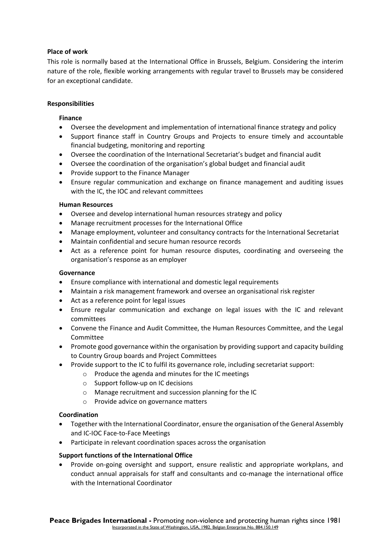# **Place of work**

This role is normally based at the International Office in Brussels, Belgium. Considering the interim nature of the role, flexible working arrangements with regular travel to Brussels may be considered for an exceptional candidate.

## **Responsibilities**

# **Finance**

- Oversee the development and implementation of international finance strategy and policy
- Support finance staff in Country Groups and Projects to ensure timely and accountable financial budgeting, monitoring and reporting
- Oversee the coordination of the International Secretariat's budget and financial audit
- Oversee the coordination of the organisation's global budget and financial audit
- Provide support to the Finance Manager
- Ensure regular communication and exchange on finance management and auditing issues with the IC, the IOC and relevant committees

## **Human Resources**

- Oversee and develop international human resources strategy and policy
- Manage recruitment processes for the International Office
- Manage employment, volunteer and consultancy contracts for the International Secretariat
- Maintain confidential and secure human resource records
- Act as a reference point for human resource disputes, coordinating and overseeing the organisation's response as an employer

## **Governance**

- Ensure compliance with international and domestic legal requirements
- Maintain a risk management framework and oversee an organisational risk register
- Act as a reference point for legal issues
- Ensure regular communication and exchange on legal issues with the IC and relevant committees
- Convene the Finance and Audit Committee, the Human Resources Committee, and the Legal Committee
- Promote good governance within the organisation by providing support and capacity building to Country Group boards and Project Committees
- Provide support to the IC to fulfil its governance role, including secretariat support:
	- o Produce the agenda and minutes for the IC meetings
	- o Support follow-up on IC decisions
	- o Manage recruitment and succession planning for the IC
	- o Provide advice on governance matters

## **Coordination**

- Together with the International Coordinator, ensure the organisation of the General Assembly and IC-IOC Face-to-Face Meetings
- Participate in relevant coordination spaces across the organisation

# **Support functions of the International Office**

• Provide on-going oversight and support, ensure realistic and appropriate workplans, and conduct annual appraisals for staff and consultants and co-manage the international office with the International Coordinator